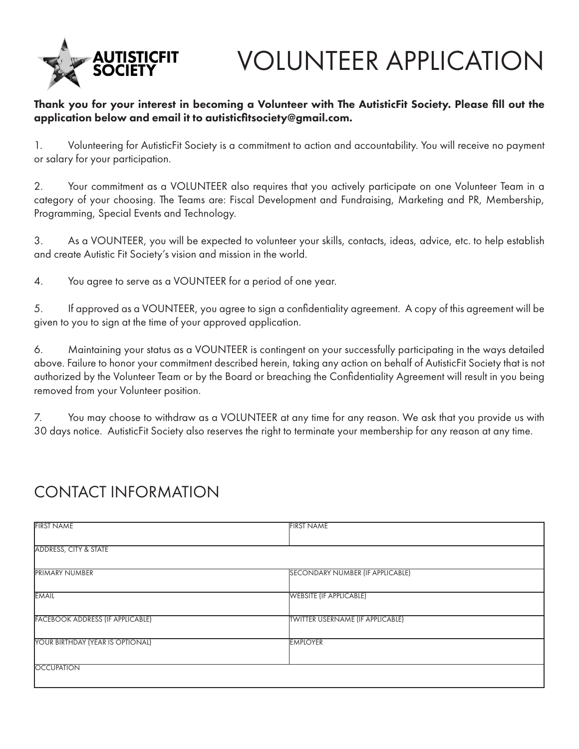

# VOLUNTEER APPLICATION

### Thank you for your interest in becoming a Volunteer with The AutisticFit Society. Please fill out the application below and email it to autisticfitsociety@gmail.com.

1. Volunteering for AutisticFit Society is a commitment to action and accountability. You will receive no payment or salary for your participation.

2. Your commitment as a VOLUNTEER also requires that you actively participate on one Volunteer Team in a category of your choosing. The Teams are: Fiscal Development and Fundraising, Marketing and PR, Membership, Programming, Special Events and Technology.

3. As a VOUNTEER, you will be expected to volunteer your skills, contacts, ideas, advice, etc. to help establish and create Autistic Fit Society's vision and mission in the world.

4. You agree to serve as a VOUNTEER for a period of one year.

5. If approved as a VOUNTEER, you agree to sign a confidentiality agreement. A copy of this agreement will be given to you to sign at the time of your approved application.

6. Maintaining your status as a VOUNTEER is contingent on your successfully participating in the ways detailed above. Failure to honor your commitment described herein, taking any action on behalf of AutisticFit Society that is not authorized by the Volunteer Team or by the Board or breaching the Confidentiality Agreement will result in you being removed from your Volunteer position.

7. You may choose to withdraw as a VOLUNTEER at any time for any reason. We ask that you provide us with 30 days notice. AutisticFit Society also reserves the right to terminate your membership for any reason at any time.

# CONTACT INFORMATION

| <b>FIRST NAME</b>                       | <b>FIRST NAME</b>                       |  |
|-----------------------------------------|-----------------------------------------|--|
|                                         |                                         |  |
| <b>ADDRESS, CITY &amp; STATE</b>        |                                         |  |
|                                         |                                         |  |
| <b>PRIMARY NUMBER</b>                   | <b>SECONDARY NUMBER (IF APPLICABLE)</b> |  |
| <b>EMAIL</b>                            | <b>WEBSITE (IF APPLICABLE)</b>          |  |
|                                         |                                         |  |
| <b>FACEBOOK ADDRESS (IF APPLICABLE)</b> | <b>TWITTER USERNAME (IF APPLICABLE)</b> |  |
|                                         |                                         |  |
| YOUR BIRTHDAY (YEAR IS OPTIONAL)        | <b>EMPLOYER</b>                         |  |
|                                         |                                         |  |
| <b>OCCUPATION</b>                       |                                         |  |
|                                         |                                         |  |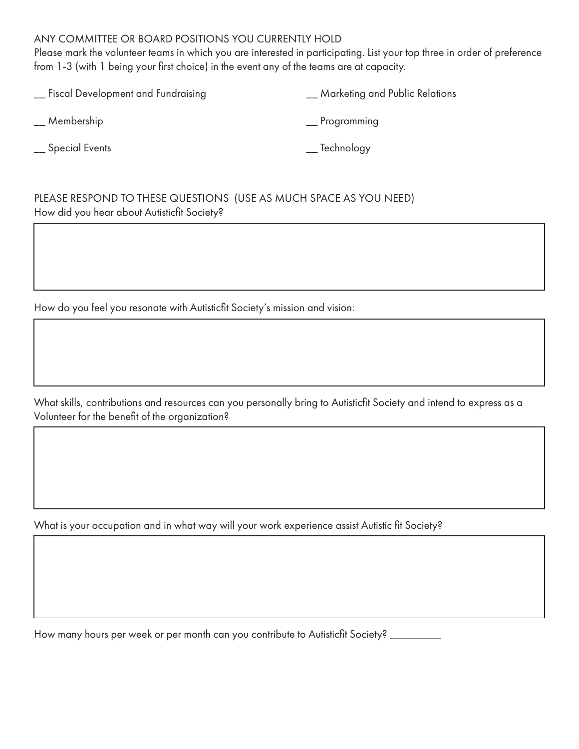#### ANY COMMITTEE OR BOARD POSITIONS YOU CURRENTLY HOLD

Please mark the volunteer teams in which you are interested in participating. List your top three in order of preference from 1-3 (with 1 being your first choice) in the event any of the teams are at capacity.

| <b>Marketing and Public Relations</b> |
|---------------------------------------|
| Programming                           |
| __ Technology                         |
|                                       |

PLEASE RESPOND TO THESE QUESTIONS (USE AS MUCH SPACE AS YOU NEED) How did you hear about Autisticfit Society?

How do you feel you resonate with Autisticfit Society's mission and vision:

What skills, contributions and resources can you personally bring to Autisticfit Society and intend to express as a Volunteer for the benefit of the organization?

What is your occupation and in what way will your work experience assist Autistic fit Society?

How many hours per week or per month can you contribute to Autisticfit Society? \_\_\_\_\_\_\_